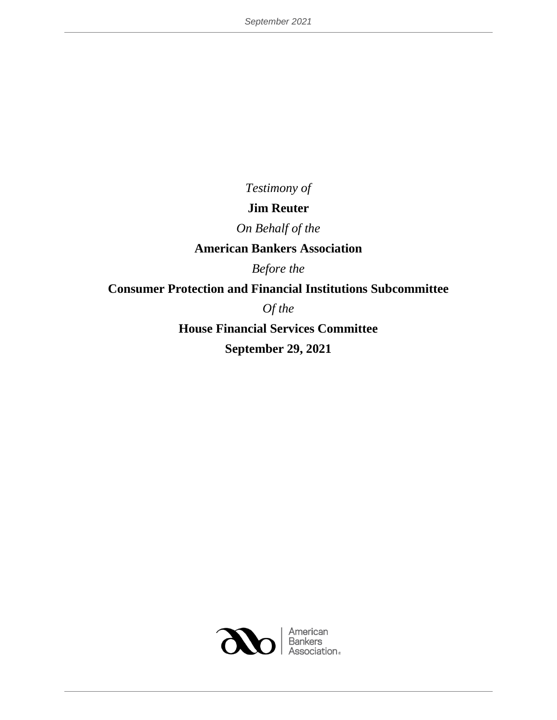*Testimony of* 

# **Jim Reuter**

*On Behalf of the*

# **American Bankers Association**

*Before the*

# **Consumer Protection and Financial Institutions Subcommittee**

*Of the*

**House Financial Services Committee September 29, 2021**

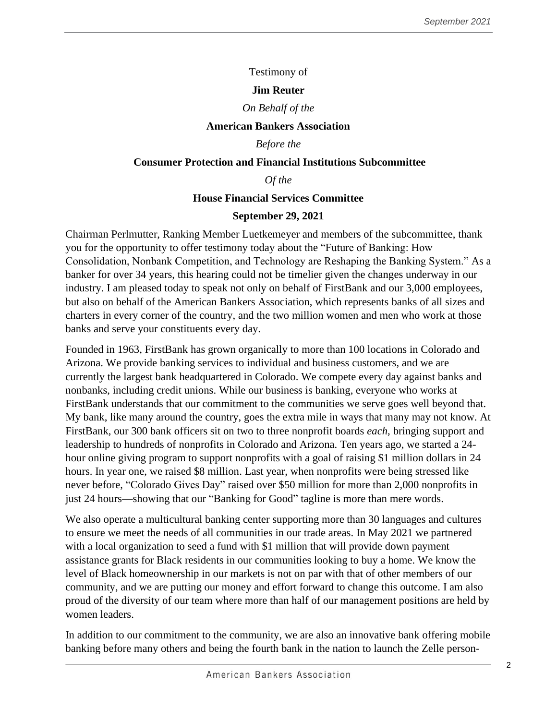## Testimony of

## **Jim Reuter**

## *On Behalf of the*

#### **American Bankers Association**

## *Before the*

#### **Consumer Protection and Financial Institutions Subcommittee**

*Of the*

## **House Financial Services Committee**

## **September 29, 2021**

Chairman Perlmutter, Ranking Member Luetkemeyer and members of the subcommittee, thank you for the opportunity to offer testimony today about the "Future of Banking: How Consolidation, Nonbank Competition, and Technology are Reshaping the Banking System." As a banker for over 34 years, this hearing could not be timelier given the changes underway in our industry. I am pleased today to speak not only on behalf of FirstBank and our 3,000 employees, but also on behalf of the American Bankers Association, which represents banks of all sizes and charters in every corner of the country, and the two million women and men who work at those banks and serve your constituents every day.

Founded in 1963, FirstBank has grown organically to more than 100 locations in Colorado and Arizona. We provide banking services to individual and business customers, and we are currently the largest bank headquartered in Colorado. We compete every day against banks and nonbanks, including credit unions. While our business is banking, everyone who works at FirstBank understands that our commitment to the communities we serve goes well beyond that. My bank, like many around the country, goes the extra mile in ways that many may not know. At FirstBank, our 300 bank officers sit on two to three nonprofit boards *each*, bringing support and leadership to hundreds of nonprofits in Colorado and Arizona. Ten years ago, we started a 24 hour online giving program to support nonprofits with a goal of raising \$1 million dollars in 24 hours. In year one, we raised \$8 million. Last year, when nonprofits were being stressed like never before, "Colorado Gives Day" raised over \$50 million for more than 2,000 nonprofits in just 24 hours—showing that our "Banking for Good" tagline is more than mere words.

We also operate a multicultural banking center supporting more than 30 languages and cultures to ensure we meet the needs of all communities in our trade areas. In May 2021 we partnered with a local organization to seed a fund with \$1 million that will provide down payment assistance grants for Black residents in our communities looking to buy a home. We know the level of Black homeownership in our markets is not on par with that of other members of our community, and we are putting our money and effort forward to change this outcome. I am also proud of the diversity of our team where more than half of our management positions are held by women leaders.

In addition to our commitment to the community, we are also an innovative bank offering mobile banking before many others and being the fourth bank in the nation to launch the Zelle person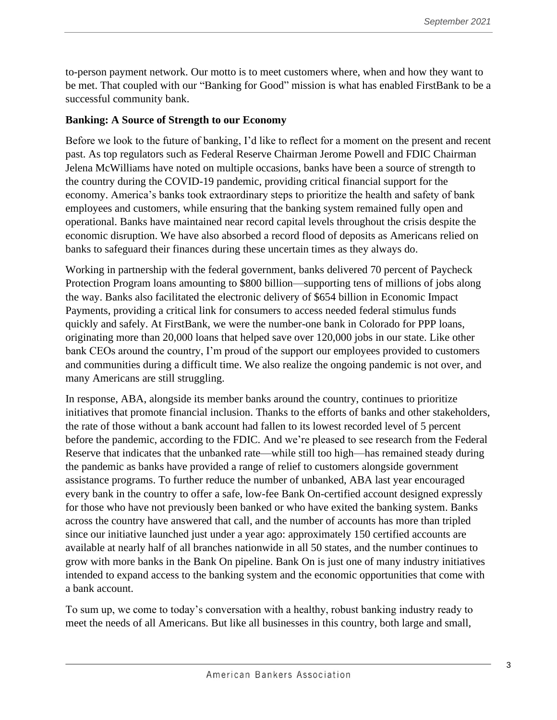to-person payment network. Our motto is to meet customers where, when and how they want to be met. That coupled with our "Banking for Good" mission is what has enabled FirstBank to be a successful community bank.

## **Banking: A Source of Strength to our Economy**

Before we look to the future of banking, I'd like to reflect for a moment on the present and recent past. As top regulators such as Federal Reserve Chairman Jerome Powell and FDIC Chairman Jelena McWilliams have noted on multiple occasions, banks have been a source of strength to the country during the COVID-19 pandemic, providing critical financial support for the economy. America's banks took extraordinary steps to prioritize the health and safety of bank employees and customers, while ensuring that the banking system remained fully open and operational. Banks have maintained near record capital levels throughout the crisis despite the economic disruption. We have also absorbed a record flood of deposits as Americans relied on banks to safeguard their finances during these uncertain times as they always do.

Working in partnership with the federal government, banks delivered 70 percent of Paycheck Protection Program loans amounting to \$800 billion—supporting tens of millions of jobs along the way. Banks also facilitated the electronic delivery of \$654 billion in Economic Impact Payments, providing a critical link for consumers to access needed federal stimulus funds quickly and safely. At FirstBank, we were the number-one bank in Colorado for PPP loans, originating more than 20,000 loans that helped save over 120,000 jobs in our state. Like other bank CEOs around the country, I'm proud of the support our employees provided to customers and communities during a difficult time. We also realize the ongoing pandemic is not over, and many Americans are still struggling.

In response, ABA, alongside its member banks around the country, continues to prioritize initiatives that promote financial inclusion. Thanks to the efforts of banks and other stakeholders, the rate of those without a bank account had fallen to its lowest recorded level of 5 percent before the pandemic, according to the FDIC. And we're pleased to see research from the Federal Reserve that indicates that the unbanked rate—while still too high—has remained steady during the pandemic as banks have provided a range of relief to customers alongside government assistance programs. To further reduce the number of unbanked, ABA last year encouraged every bank in the country to offer a safe, low-fee Bank On-certified account designed expressly for those who have not previously been banked or who have exited the banking system. Banks across the country have answered that call, and the number of accounts has more than tripled since our initiative launched just under a year ago: approximately 150 certified accounts are available at nearly half of all branches nationwide in all 50 states, and the number continues to grow with more banks in the Bank On pipeline. Bank On is just one of many industry initiatives intended to expand access to the banking system and the economic opportunities that come with a bank account.

To sum up, we come to today's conversation with a healthy, robust banking industry ready to meet the needs of all Americans. But like all businesses in this country, both large and small,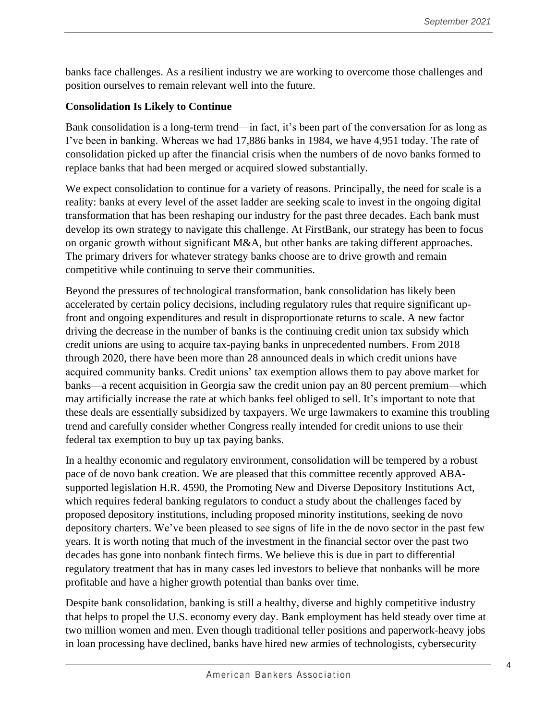banks face challenges. As a resilient industry we are working to overcome those challenges and position ourselves to remain relevant well into the future.

# **Consolidation Is Likely to Continue**

Bank consolidation is a long-term trend—in fact, it's been part of the conversation for as long as I've been in banking. Whereas we had 17,886 banks in 1984, we have 4,951 today. The rate of consolidation picked up after the financial crisis when the numbers of de novo banks formed to replace banks that had been merged or acquired slowed substantially.

We expect consolidation to continue for a variety of reasons. Principally, the need for scale is a reality: banks at every level of the asset ladder are seeking scale to invest in the ongoing digital transformation that has been reshaping our industry for the past three decades. Each bank must develop its own strategy to navigate this challenge. At FirstBank, our strategy has been to focus on organic growth without significant M&A, but other banks are taking different approaches. The primary drivers for whatever strategy banks choose are to drive growth and remain competitive while continuing to serve their communities.

Beyond the pressures of technological transformation, bank consolidation has likely been accelerated by certain policy decisions, including regulatory rules that require significant upfront and ongoing expenditures and result in disproportionate returns to scale. A new factor driving the decrease in the number of banks is the continuing credit union tax subsidy which credit unions are using to acquire tax-paying banks in unprecedented numbers. From 2018 through 2020, there have been more than 28 announced deals in which credit unions have acquired community banks. Credit unions' tax exemption allows them to pay above market for banks—a recent acquisition in Georgia saw the credit union pay an 80 percent premium—which may artificially increase the rate at which banks feel obliged to sell. It's important to note that these deals are essentially subsidized by taxpayers. We urge lawmakers to examine this troubling trend and carefully consider whether Congress really intended for credit unions to use their federal tax exemption to buy up tax paying banks.

In a healthy economic and regulatory environment, consolidation will be tempered by a robust pace of de novo bank creation. We are pleased that this committee recently approved ABAsupported legislation H.R. 4590, the Promoting New and Diverse Depository Institutions Act, which requires federal banking regulators to conduct a study about the challenges faced by proposed depository institutions, including proposed minority institutions, seeking de novo depository charters. We've been pleased to see signs of life in the de novo sector in the past few years. It is worth noting that much of the investment in the financial sector over the past two decades has gone into nonbank fintech firms. We believe this is due in part to differential regulatory treatment that has in many cases led investors to believe that nonbanks will be more profitable and have a higher growth potential than banks over time.

Despite bank consolidation, banking is still a healthy, diverse and highly competitive industry that helps to propel the U.S. economy every day. Bank employment has held steady over time at two million women and men. Even though traditional teller positions and paperwork-heavy jobs in loan processing have declined, banks have hired new armies of technologists, cybersecurity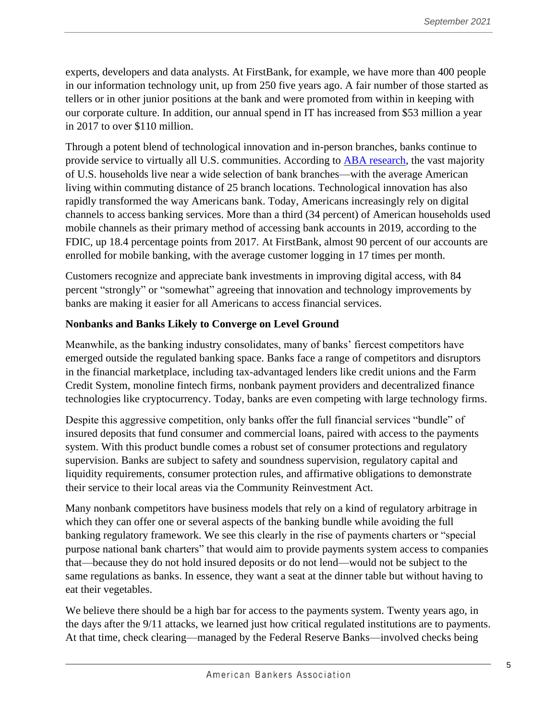experts, developers and data analysts. At FirstBank, for example, we have more than 400 people in our information technology unit, up from 250 five years ago. A fair number of those started as tellers or in other junior positions at the bank and were promoted from within in keeping with our corporate culture. In addition, our annual spend in IT has increased from \$53 million a year in 2017 to over \$110 million.

Through a potent blend of technological innovation and in-person branches, banks continue to provide service to virtually all U.S. communities. According to [ABA research,](https://bankingjournal.aba.com/2021/04/the-real-story-on-bank-branch-closures/) the vast majority of U.S. households live near a wide selection of bank branches—with the average American living within commuting distance of 25 branch locations. Technological innovation has also rapidly transformed the way Americans bank. Today, Americans increasingly rely on digital channels to access banking services. More than a third (34 percent) of American households used mobile channels as their primary method of accessing bank accounts in 2019, according to the FDIC, up 18.4 percentage points from 2017. At FirstBank, almost 90 percent of our accounts are enrolled for mobile banking, with the average customer logging in 17 times per month.

Customers recognize and appreciate bank investments in improving digital access, with 84 percent "strongly" or "somewhat" agreeing that innovation and technology improvements by banks are making it easier for all Americans to access financial services.

## **Nonbanks and Banks Likely to Converge on Level Ground**

Meanwhile, as the banking industry consolidates, many of banks' fiercest competitors have emerged outside the regulated banking space. Banks face a range of competitors and disruptors in the financial marketplace, including tax-advantaged lenders like credit unions and the Farm Credit System, monoline fintech firms, nonbank payment providers and decentralized finance technologies like cryptocurrency. Today, banks are even competing with large technology firms.

Despite this aggressive competition, only banks offer the full financial services "bundle" of insured deposits that fund consumer and commercial loans, paired with access to the payments system. With this product bundle comes a robust set of consumer protections and regulatory supervision. Banks are subject to safety and soundness supervision, regulatory capital and liquidity requirements, consumer protection rules, and affirmative obligations to demonstrate their service to their local areas via the Community Reinvestment Act.

Many nonbank competitors have business models that rely on a kind of regulatory arbitrage in which they can offer one or several aspects of the banking bundle while avoiding the full banking regulatory framework. We see this clearly in the rise of payments charters or "special purpose national bank charters" that would aim to provide payments system access to companies that—because they do not hold insured deposits or do not lend—would not be subject to the same regulations as banks. In essence, they want a seat at the dinner table but without having to eat their vegetables.

We believe there should be a high bar for access to the payments system. Twenty years ago, in the days after the 9/11 attacks, we learned just how critical regulated institutions are to payments. At that time, check clearing—managed by the Federal Reserve Banks—involved checks being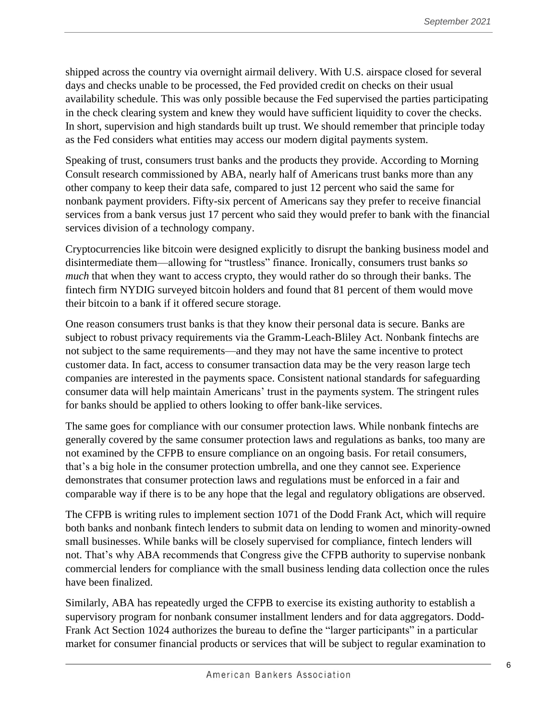shipped across the country via overnight airmail delivery. With U.S. airspace closed for several days and checks unable to be processed, the Fed provided credit on checks on their usual availability schedule. This was only possible because the Fed supervised the parties participating in the check clearing system and knew they would have sufficient liquidity to cover the checks. In short, supervision and high standards built up trust. We should remember that principle today as the Fed considers what entities may access our modern digital payments system.

Speaking of trust, consumers trust banks and the products they provide. According to Morning Consult research commissioned by ABA, nearly half of Americans trust banks more than any other company to keep their data safe, compared to just 12 percent who said the same for nonbank payment providers. Fifty-six percent of Americans say they prefer to receive financial services from a bank versus just 17 percent who said they would prefer to bank with the financial services division of a technology company.

Cryptocurrencies like bitcoin were designed explicitly to disrupt the banking business model and disintermediate them—allowing for "trustless" finance. Ironically, consumers trust banks *so much* that when they want to access crypto, they would rather do so through their banks. The fintech firm NYDIG surveyed bitcoin holders and found that 81 percent of them would move their bitcoin to a bank if it offered secure storage.

One reason consumers trust banks is that they know their personal data is secure. Banks are subject to robust privacy requirements via the Gramm-Leach-Bliley Act. Nonbank fintechs are not subject to the same requirements—and they may not have the same incentive to protect customer data. In fact, access to consumer transaction data may be the very reason large tech companies are interested in the payments space. Consistent national standards for safeguarding consumer data will help maintain Americans' trust in the payments system. The stringent rules for banks should be applied to others looking to offer bank-like services.

The same goes for compliance with our consumer protection laws. While nonbank fintechs are generally covered by the same consumer protection laws and regulations as banks, too many are not examined by the CFPB to ensure compliance on an ongoing basis. For retail consumers, that's a big hole in the consumer protection umbrella, and one they cannot see. Experience demonstrates that consumer protection laws and regulations must be enforced in a fair and comparable way if there is to be any hope that the legal and regulatory obligations are observed.

The CFPB is writing rules to implement section 1071 of the Dodd Frank Act, which will require both banks and nonbank fintech lenders to submit data on lending to women and minority-owned small businesses. While banks will be closely supervised for compliance, fintech lenders will not. That's why ABA recommends that Congress give the CFPB authority to supervise nonbank commercial lenders for compliance with the small business lending data collection once the rules have been finalized.

Similarly, ABA has repeatedly urged the CFPB to exercise its existing authority to establish a supervisory program for nonbank consumer installment lenders and for data aggregators. Dodd-Frank Act Section 1024 authorizes the bureau to define the "larger participants" in a particular market for consumer financial products or services that will be subject to regular examination to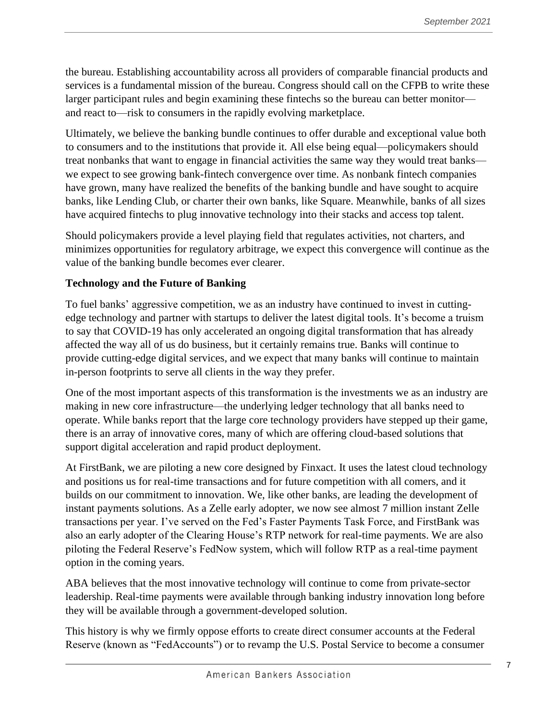the bureau. Establishing accountability across all providers of comparable financial products and services is a fundamental mission of the bureau. Congress should call on the CFPB to write these larger participant rules and begin examining these fintechs so the bureau can better monitor and react to—risk to consumers in the rapidly evolving marketplace.

Ultimately, we believe the banking bundle continues to offer durable and exceptional value both to consumers and to the institutions that provide it. All else being equal—policymakers should treat nonbanks that want to engage in financial activities the same way they would treat banks we expect to see growing bank-fintech convergence over time. As nonbank fintech companies have grown, many have realized the benefits of the banking bundle and have sought to acquire banks, like Lending Club, or charter their own banks, like Square. Meanwhile, banks of all sizes have acquired fintechs to plug innovative technology into their stacks and access top talent.

Should policymakers provide a level playing field that regulates activities, not charters, and minimizes opportunities for regulatory arbitrage, we expect this convergence will continue as the value of the banking bundle becomes ever clearer.

# **Technology and the Future of Banking**

To fuel banks' aggressive competition, we as an industry have continued to invest in cuttingedge technology and partner with startups to deliver the latest digital tools. It's become a truism to say that COVID-19 has only accelerated an ongoing digital transformation that has already affected the way all of us do business, but it certainly remains true. Banks will continue to provide cutting-edge digital services, and we expect that many banks will continue to maintain in-person footprints to serve all clients in the way they prefer.

One of the most important aspects of this transformation is the investments we as an industry are making in new core infrastructure—the underlying ledger technology that all banks need to operate. While banks report that the large core technology providers have stepped up their game, there is an array of innovative cores, many of which are offering cloud-based solutions that support digital acceleration and rapid product deployment.

At FirstBank, we are piloting a new core designed by Finxact. It uses the latest cloud technology and positions us for real-time transactions and for future competition with all comers, and it builds on our commitment to innovation. We, like other banks, are leading the development of instant payments solutions. As a Zelle early adopter, we now see almost 7 million instant Zelle transactions per year. I've served on the Fed's Faster Payments Task Force, and FirstBank was also an early adopter of the Clearing House's RTP network for real-time payments. We are also piloting the Federal Reserve's FedNow system, which will follow RTP as a real-time payment option in the coming years.

ABA believes that the most innovative technology will continue to come from private-sector leadership. Real-time payments were available through banking industry innovation long before they will be available through a government-developed solution.

This history is why we firmly oppose efforts to create direct consumer accounts at the Federal Reserve (known as "FedAccounts") or to revamp the U.S. Postal Service to become a consumer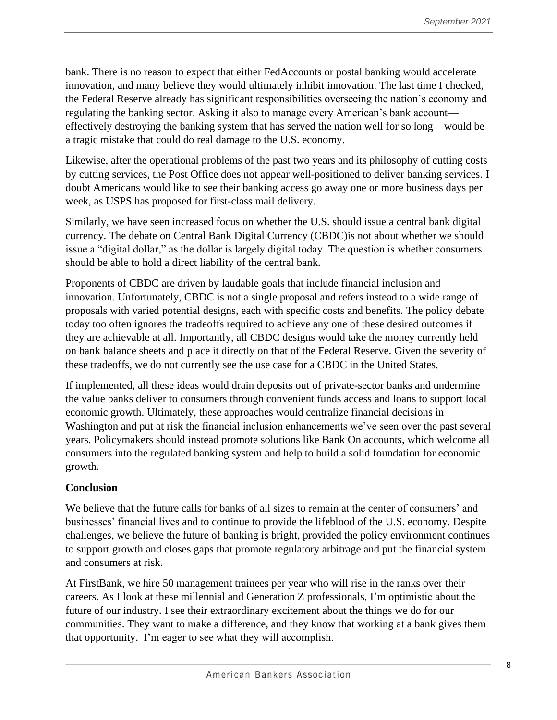bank. There is no reason to expect that either FedAccounts or postal banking would accelerate innovation, and many believe they would ultimately inhibit innovation. The last time I checked, the Federal Reserve already has significant responsibilities overseeing the nation's economy and regulating the banking sector. Asking it also to manage every American's bank account effectively destroying the banking system that has served the nation well for so long—would be a tragic mistake that could do real damage to the U.S. economy.

Likewise, after the operational problems of the past two years and its philosophy of cutting costs by cutting services, the Post Office does not appear well-positioned to deliver banking services. I doubt Americans would like to see their banking access go away one or more business days per week, as USPS has proposed for first-class mail delivery.

Similarly, we have seen increased focus on whether the U.S. should issue a central bank digital currency. The debate on Central Bank Digital Currency (CBDC)is not about whether we should issue a "digital dollar," as the dollar is largely digital today. The question is whether consumers should be able to hold a direct liability of the central bank.

Proponents of CBDC are driven by laudable goals that include financial inclusion and innovation. Unfortunately, CBDC is not a single proposal and refers instead to a wide range of proposals with varied potential designs, each with specific costs and benefits. The policy debate today too often ignores the tradeoffs required to achieve any one of these desired outcomes if they are achievable at all. Importantly, all CBDC designs would take the money currently held on bank balance sheets and place it directly on that of the Federal Reserve. Given the severity of these tradeoffs, we do not currently see the use case for a CBDC in the United States.

If implemented, all these ideas would drain deposits out of private-sector banks and undermine the value banks deliver to consumers through convenient funds access and loans to support local economic growth. Ultimately, these approaches would centralize financial decisions in Washington and put at risk the financial inclusion enhancements we've seen over the past several years. Policymakers should instead promote solutions like Bank On accounts, which welcome all consumers into the regulated banking system and help to build a solid foundation for economic growth.

# **Conclusion**

We believe that the future calls for banks of all sizes to remain at the center of consumers' and businesses' financial lives and to continue to provide the lifeblood of the U.S. economy. Despite challenges, we believe the future of banking is bright, provided the policy environment continues to support growth and closes gaps that promote regulatory arbitrage and put the financial system and consumers at risk.

At FirstBank, we hire 50 management trainees per year who will rise in the ranks over their careers. As I look at these millennial and Generation Z professionals, I'm optimistic about the future of our industry. I see their extraordinary excitement about the things we do for our communities. They want to make a difference, and they know that working at a bank gives them that opportunity. I'm eager to see what they will accomplish.